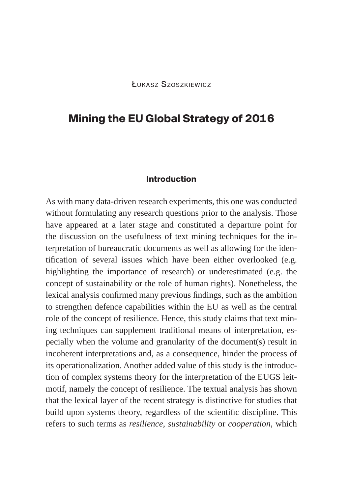# **Mining the EU Global Strategy of 2016**

#### **Introduction**

As with many data-driven research experiments, this one was conducted without formulating any research questions prior to the analysis. Those have appeared at a later stage and constituted a departure point for the discussion on the usefulness of text mining techniques for the interpretation of bureaucratic documents as well as allowing for the identification of several issues which have been either overlooked (e.g. highlighting the importance of research) or underestimated (e.g. the concept of sustainability or the role of human rights). Nonetheless, the lexical analysis confirmed many previous findings, such as the ambition to strengthen defence capabilities within the EU as well as the central role of the concept of resilience. Hence, this study claims that text mining techniques can supplement traditional means of interpretation, especially when the volume and granularity of the document(s) result in incoherent interpretations and, as a consequence, hinder the process of its operationalization. Another added value of this study is the introduction of complex systems theory for the interpretation of the EUGS leitmotif, namely the concept of resilience. The textual analysis has shown that the lexical layer of the recent strategy is distinctive for studies that build upon systems theory, regardless of the scientific discipline. This refers to such terms as *resilience*, *sustainability* or *cooperation*, which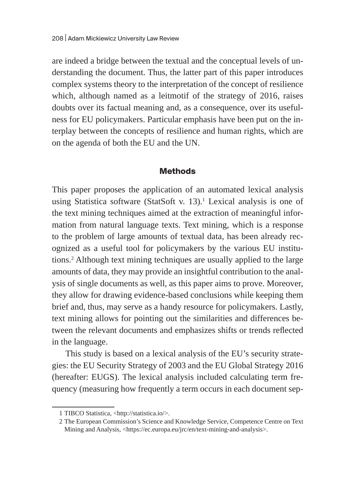are indeed a bridge between the textual and the conceptual levels of understanding the document. Thus, the latter part of this paper introduces complex systems theory to the interpretation of the concept of resilience which, although named as a leitmotif of the strategy of 2016, raises doubts over its factual meaning and, as a consequence, over its usefulness for EU policymakers. Particular emphasis have been put on the interplay between the concepts of resilience and human rights, which are on the agenda of both the EU and the UN.

#### **Methods**

This paper proposes the application of an automated lexical analysis using Statistica software (StatSoft v. 13).<sup>1</sup> Lexical analysis is one of the text mining techniques aimed at the extraction of meaningful information from natural language texts. Text mining, which is a response to the problem of large amounts of textual data, has been already recognized as a useful tool for policymakers by the various EU institutions.2 Although text mining techniques are usually applied to the large amounts of data, they may provide an insightful contribution to the analysis of single documents as well, as this paper aims to prove. Moreover, they allow for drawing evidence-based conclusions while keeping them brief and, thus, may serve as a handy resource for policymakers. Lastly, text mining allows for pointing out the similarities and differences between the relevant documents and emphasizes shifts or trends reflected in the language.

This study is based on a lexical analysis of the EU's security strategies: the EU Security Strategy of 2003 and the EU Global Strategy 2016 (hereafter: EUGS). The lexical analysis included calculating term frequency (measuring how frequently a term occurs in each document sep-

<sup>1</sup> TIBCO Statistica, <http://statistica.io/>.

<sup>2</sup> The European Commission's Science and Knowledge Service, Competence Centre on Text Mining and Analysis, <https://ec.europa.eu/jrc/en/text-mining-and-analysis>.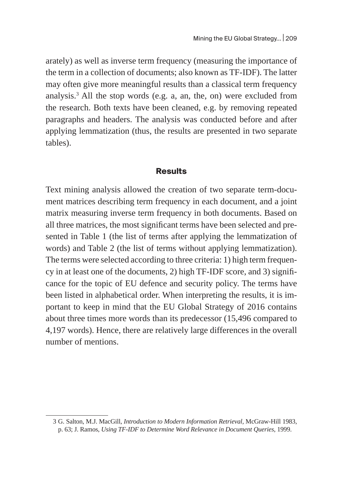arately) as well as inverse term frequency (measuring the importance of the term in a collection of documents; also known as TF-IDF). The latter may often give more meaningful results than a classical term frequency analysis. $3$  All the stop words (e.g. a, an, the, on) were excluded from the research. Both texts have been cleaned, e.g. by removing repeated paragraphs and headers. The analysis was conducted before and after applying lemmatization (thus, the results are presented in two separate tables).

#### **Results**

Text mining analysis allowed the creation of two separate term-document matrices describing term frequency in each document, and a joint matrix measuring inverse term frequency in both documents. Based on all three matrices, the most significant terms have been selected and presented in Table 1 (the list of terms after applying the lemmatization of words) and Table 2 (the list of terms without applying lemmatization). The terms were selected according to three criteria: 1) high term frequency in at least one of the documents, 2) high TF-IDF score, and 3) significance for the topic of EU defence and security policy. The terms have been listed in alphabetical order. When interpreting the results, it is important to keep in mind that the EU Global Strategy of 2016 contains about three times more words than its predecessor (15,496 compared to 4,197 words). Hence, there are relatively large differences in the overall number of mentions.

<sup>3</sup> G. Salton, M.J. MacGill, *Introduction to Modern Information Retrieval*, McGraw-Hill 1983, p. 63; J. Ramos, *Using TF-IDF to Determine Word Relevance in Document Queries*, 1999.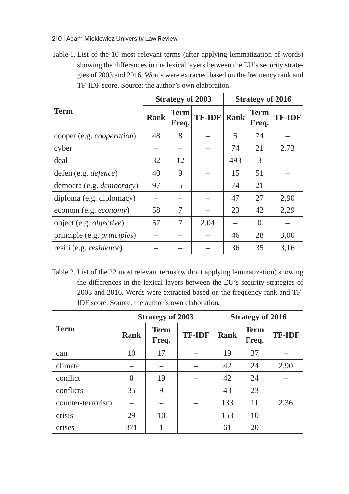#### 210 | Adam Mickiewicz University Law Review

Table 1. List of the 10 most relevant terms (after applying lemmatization of words) showing the differences in the lexical layers between the EU's security strategies of 2003 and 2016. Words were extracted based on the frequency rank and TF-IDF score. Source: the author's own elaboration.

|                                     |             | <b>Strategy of 2003</b> |               | <b>Strategy of 2016</b> |                      |               |  |
|-------------------------------------|-------------|-------------------------|---------------|-------------------------|----------------------|---------------|--|
| <b>Term</b>                         | <b>Rank</b> | <b>Term</b><br>Freq.    | <b>TF-IDF</b> | <b>Rank</b>             | <b>Term</b><br>Freq. | <b>TF-IDF</b> |  |
| cooper (e.g. cooperation)           | 48          | 8                       |               | 5                       | 74                   |               |  |
| cyber                               |             |                         |               | 74                      | 21                   | 2,73          |  |
| deal                                | 32          | 12                      |               | 493                     | 3                    |               |  |
| defen (e.g. defence)                | 40          | 9                       |               | 15                      | 51                   |               |  |
| democra (e.g. democracy)            | 97          | 5                       |               | 74                      | 21                   |               |  |
| diploma (e.g. diplomacy)            |             |                         |               | 47                      | 27                   | 2,90          |  |
| econom (e.g. economy)               | 58          | 7                       |               | 23                      | 42                   | 2,29          |  |
| object (e.g. objective)             | 57          | 7                       | 2,04          |                         | $\Omega$             |               |  |
| principle (e.g. <i>principles</i> ) |             |                         |               | 46                      | 28                   | 3,00          |  |
| resili (e.g. resilience)            |             |                         |               | 36                      | 35                   | 3,16          |  |

Table 2. List of the 22 most relevant terms (without applying lemmatization) showing the differences in the lexical layers between the EU's security strategies of 2003 and 2016. Words were extracted based on the frequency rank and TF-IDF score. Source: the author's own elaboration*.*

|                   |             | <b>Strategy of 2003</b>               |  | <b>Strategy of 2016</b>             |    |               |  |
|-------------------|-------------|---------------------------------------|--|-------------------------------------|----|---------------|--|
| <b>Term</b>       | <b>Rank</b> | <b>Term</b><br><b>TF-IDF</b><br>Freq. |  | <b>Term</b><br><b>Rank</b><br>Freq. |    | <b>TF-IDF</b> |  |
| can               | 10          | 17                                    |  | 19                                  | 37 |               |  |
| climate           |             |                                       |  | 42                                  | 24 | 2,90          |  |
| conflict          | 8           | 19                                    |  | 42                                  | 24 |               |  |
| conflicts         | 35          | 9                                     |  | 43                                  | 23 |               |  |
| counter-terrorism |             |                                       |  | 133                                 | 11 | 2,36          |  |
| crisis            | 29          | 10                                    |  | 153                                 | 10 |               |  |
| crises            | 371         | 1                                     |  | 61                                  | 20 |               |  |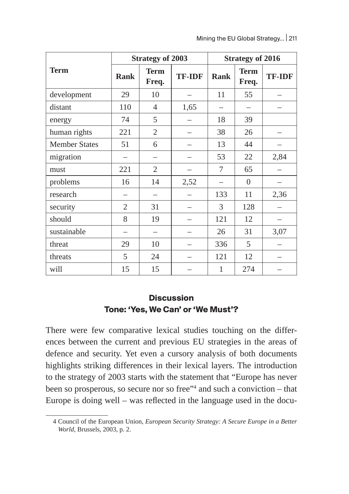|                      |                | <b>Strategy of 2003</b> |               | <b>Strategy of 2016</b> |                      |               |  |  |
|----------------------|----------------|-------------------------|---------------|-------------------------|----------------------|---------------|--|--|
| <b>Term</b>          | <b>Rank</b>    | <b>Term</b><br>Freq.    | <b>TF-IDF</b> | <b>Rank</b>             | <b>Term</b><br>Freq. | <b>TF-IDF</b> |  |  |
| development          | 29             | 10                      |               | 11                      | 55                   |               |  |  |
| distant              | 110            | $\overline{4}$          | 1,65          |                         |                      |               |  |  |
| energy               | 74             | 5                       |               | 18                      | 39                   |               |  |  |
| human rights         | 221            | $\overline{2}$          |               | 38                      | 26                   |               |  |  |
| <b>Member States</b> | 51             | 6                       |               | 13                      | 44                   |               |  |  |
| migration            |                |                         |               | 53                      | 22                   | 2,84          |  |  |
| must                 | 221            | $\overline{2}$          |               | 7                       | 65                   |               |  |  |
| problems             | 16             | 14                      | 2,52          |                         | $\boldsymbol{0}$     |               |  |  |
| research             |                |                         |               | 133                     | 11                   | 2,36          |  |  |
| security             | $\overline{2}$ | 31                      |               | 3                       | 128                  |               |  |  |
| should               | 8              | 19                      |               | 121                     | 12                   |               |  |  |
| sustainable          |                |                         |               | 26                      | 31                   | 3,07          |  |  |
| threat               | 29             | 10                      |               | 336                     | 5                    |               |  |  |
| threats              | 5              | 24                      |               | 121                     | 12                   |               |  |  |
| will                 | 15             | 15                      |               | $\mathbf{1}$            | 274                  |               |  |  |

### **Discussion Tone: 'Yes, We Can' or 'We Must'?**

There were few comparative lexical studies touching on the differences between the current and previous EU strategies in the areas of defence and security. Yet even a cursory analysis of both documents highlights striking differences in their lexical layers. The introduction to the strategy of 2003 starts with the statement that "Europe has never been so prosperous, so secure nor so free"<sup>4</sup> and such a conviction – that Europe is doing well – was reflected in the language used in the docu-

<sup>4</sup> Council of the European Union, *European Security Strategy: A Secure Europe in a Better World*, Brussels, 2003, p. 2.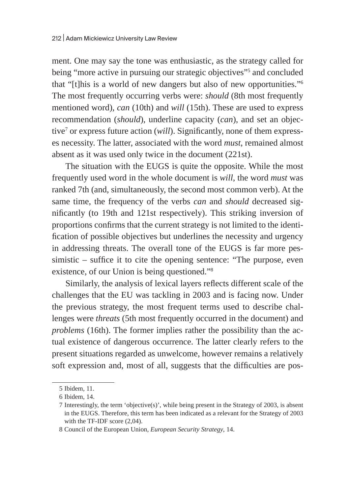ment. One may say the tone was enthusiastic, as the strategy called for being "more active in pursuing our strategic objectives"5 and concluded that "[t]his is a world of new dangers but also of new opportunities."<sup>6</sup> The most frequently occurring verbs were: *should* (8th most frequently mentioned word), *can* (10th) and *will* (15th). These are used to express recommendation (*should*), underline capacity (*can*), and set an objective<sup>7</sup> or express future action (*will*). Significantly, none of them expresses necessity. The latter, associated with the word *must*, remained almost absent as it was used only twice in the document (221st).

The situation with the EUGS is quite the opposite. While the most frequently used word in the whole document is *will*, the word *must* was ranked 7th (and, simultaneously, the second most common verb). At the same time, the frequency of the verbs *can* and *should* decreased significantly (to 19th and 121st respectively). This striking inversion of proportions confirms that the current strategy is not limited to the identification of possible objectives but underlines the necessity and urgency in addressing threats. The overall tone of the EUGS is far more pessimistic – suffice it to cite the opening sentence: "The purpose, even existence, of our Union is being questioned."<sup>8</sup>

Similarly, the analysis of lexical layers reflects different scale of the challenges that the EU was tackling in 2003 and is facing now. Under the previous strategy, the most frequent terms used to describe challenges were *threats* (5th most frequently occurred in the document) and *problems* (16th). The former implies rather the possibility than the actual existence of dangerous occurrence. The latter clearly refers to the present situations regarded as unwelcome, however remains a relatively soft expression and, most of all, suggests that the difficulties are pos-

<sup>5</sup> Ibidem, 11.

<sup>6</sup> Ibidem, 14.

<sup>7</sup> Interestingly, the term 'objective(s)', while being present in the Strategy of 2003, is absent in the EUGS. Therefore, this term has been indicated as a relevant for the Strategy of 2003 with the TF-IDF score (2,04).

<sup>8</sup> Council of the European Union, *European Security Strategy*, 14.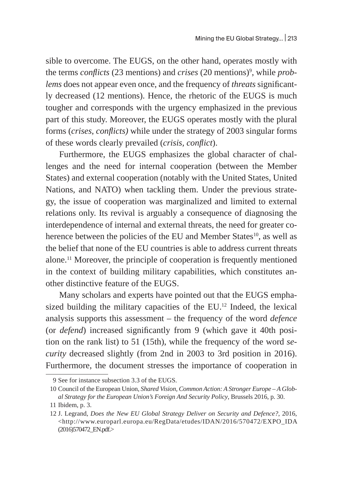sible to overcome. The EUGS, on the other hand, operates mostly with the terms *conflicts* (23 mentions) and *crises* (20 mentions)9 , while *problems* does not appear even once, and the frequency of *threats* significantly decreased (12 mentions). Hence, the rhetoric of the EUGS is much tougher and corresponds with the urgency emphasized in the previous part of this study. Moreover, the EUGS operates mostly with the plural forms (*crises*, *conflicts)* while under the strategy of 2003 singular forms of these words clearly prevailed (*crisis, conflict*).

Furthermore, the EUGS emphasizes the global character of challenges and the need for internal cooperation (between the Member States) and external cooperation (notably with the United States, United Nations, and NATO) when tackling them. Under the previous strategy, the issue of cooperation was marginalized and limited to external relations only. Its revival is arguably a consequence of diagnosing the interdependence of internal and external threats, the need for greater coherence between the policies of the EU and Member States<sup>10</sup>, as well as the belief that none of the EU countries is able to address current threats alone.11 Moreover, the principle of cooperation is frequently mentioned in the context of building military capabilities, which constitutes another distinctive feature of the EUGS.

Many scholars and experts have pointed out that the EUGS emphasized building the military capacities of the EU.<sup>12</sup> Indeed, the lexical analysis supports this assessment – the frequency of the word *defence* (or *defend*) increased significantly from 9 (which gave it 40th position on the rank list) to 51 (15th), while the frequency of the word *security* decreased slightly (from 2nd in 2003 to 3rd position in 2016). Furthermore, the document stresses the importance of cooperation in

<sup>9</sup> See for instance subsection 3.3 of the EUGS.

<sup>10</sup> Council of the European Union, *Shared Vision, Common Action: A Stronger Europe – A Global Strategy for the European Union's Foreign And Security Policy*, Brussels 2016, p. 30.

<sup>11</sup> Ibidem, p. 3.

<sup>12</sup> J. Legrand, *Does the New EU Global Strategy Deliver on Security and Defence?*, 2016, <http://www.europarl.europa.eu/RegData/etudes/IDAN/2016/570472/EXPO\_IDA (2016)570472\_EN.pdf.>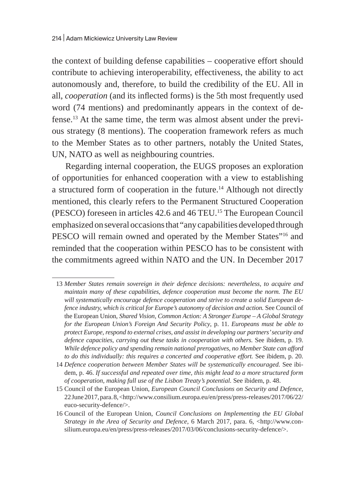the context of building defense capabilities – cooperative effort should contribute to achieving interoperability, effectiveness, the ability to act autonomously and, therefore, to build the credibility of the EU. All in all, *cooperation* (and its inflected forms) is the 5th most frequently used word (74 mentions) and predominantly appears in the context of defense.<sup>13</sup> At the same time, the term was almost absent under the previous strategy (8 mentions). The cooperation framework refers as much to the Member States as to other partners, notably the United States, UN, NATO as well as neighbouring countries.

Regarding internal cooperation, the EUGS proposes an exploration of opportunities for enhanced cooperation with a view to establishing a structured form of cooperation in the future.<sup>14</sup> Although not directly mentioned, this clearly refers to the Permanent Structured Cooperation (PESCO) foreseen in articles 42.6 and 46 TEU.15 The European Council emphasized on several occasions that "any capabilities developed through PESCO will remain owned and operated by the Member States"<sup>16</sup> and reminded that the cooperation within PESCO has to be consistent with the commitments agreed within NATO and the UN. In December 2017

<sup>13</sup> *Member States remain sovereign in their defence decisions: nevertheless, to acquire and maintain many of these capabilities, defence cooperation must become the norm. The EU will systematically encourage defence cooperation and strive to create a solid European defence industry, which is critical for Europe's autonomy of decision and action.* See Council of the European Union, *Shared Vision, Common Action: A Stronger Europe – A Global Strategy for the European Union's Foreign And Security Policy*, p. 11. *Europeans must be able to protect Europe, respond to external crises, and assist in developing our partners' security and defence capacities, carrying out these tasks in cooperation with others.* See ibidem, p. 19. *While defence policy and spending remain national prerogatives, no Member State can afford to do this individually: this requires a concerted and cooperative effort.* See ibidem, p. 20.

<sup>14</sup> *Defence cooperation between Member States will be systematically encouraged.* See ibidem, p. 46. *If successful and repeated over time, this might lead to a more structured form of cooperation, making full use of the Lisbon Treaty's potential.* See ibidem, p. 48.

<sup>15</sup> Council of the European Union, *European Council Conclusions on Security and Defence*, 22June 2017, para. 8, <http://www.consilium.europa.eu/en/press/press-releases/2017/06/22/ euco-security-defence/>.

<sup>16</sup> Council of the European Union, *Council Conclusions on Implementing the EU Global Strategy in the Area of Security and Defence*, 6 March 2017, para. 6, <http://www.consilium.europa.eu/en/press/press-releases/2017/03/06/conclusions-security-defence/>.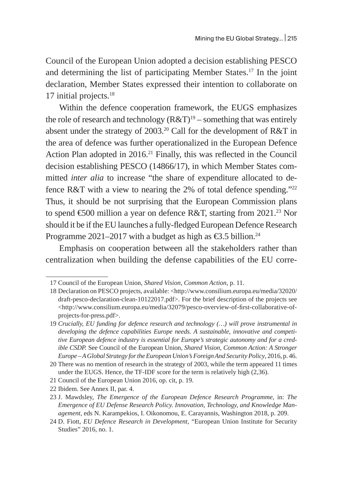Council of the European Union adopted a decision establishing PESCO and determining the list of participating Member States.<sup>17</sup> In the joint declaration, Member States expressed their intention to collaborate on 17 initial projects. $18$ 

Within the defence cooperation framework, the EUGS emphasizes the role of research and technology  $(R&T)^{19}$  – something that was entirely absent under the strategy of 2003.<sup>20</sup> Call for the development of R&T in the area of defence was further operationalized in the European Defence Action Plan adopted in 2016.<sup>21</sup> Finally, this was reflected in the Council decision establishing PESCO (14866/17), in which Member States committed *inter alia* to increase "the share of expenditure allocated to defence R&T with a view to nearing the 2% of total defence spending."<sup>22</sup> Thus, it should be not surprising that the European Commission plans to spend  $\epsilon$ 500 million a year on defence R&T, starting from 2021.<sup>23</sup> Nor should it be if the EU launches a fully-fledged European Defence Research Programme 2021–2017 with a budget as high as  $\epsilon$ 3.5 billion.<sup>24</sup>

Emphasis on cooperation between all the stakeholders rather than centralization when building the defense capabilities of the EU corre-

<sup>17</sup> Council of the European Union, *Shared Vision, Common Action*, p. 11.

<sup>18</sup> Declaration on PESCO projects, available: <http://www.consilium.europa.eu/media/32020/ draft-pesco-declaration-clean-10122017.pdf>. For the brief description of the projects see <http://www.consilium.europa.eu/media/32079/pesco-overview-of-first-collaborative-ofprojects-for-press.pdf>.

<sup>19</sup> *Crucially, EU funding for defence research and technology (…) will prove instrumental in developing the defence capabilities Europe needs. A sustainable, innovative and competitive European defence industry is essential for Europe's strategic autonomy and for a credible CSDP.* See Council of the European Union, *Shared Vision, Common Action: A Stronger Europe – AGlobal Strategy for the European Union's Foreign And Security Policy*, 2016, p. 46.

<sup>20</sup> There was no mention of research in the strategy of 2003, while the term appeared 11 times under the EUGS. Hence, the TF-IDF score for the term is relatively high (2,36).

<sup>21</sup> Council of the European Union 2016, op. cit, p. 19.

<sup>22</sup> Ibidem. See Annex II, par. 4.

<sup>23</sup> J. Mawdsley, *The Emergence of the European Defence Research Programme*, in: *The Emergence of EU Defense Research Policy. Innovation, Technology, and Knowledge Management*, eds N. Karampekios, I. Oikonomou, E. Carayannis, Washington 2018, p. 209.

<sup>24</sup> D. Fiott, *EU Defence Research in Development*, "European Union Institute for Security Studies" 2016, no. 1.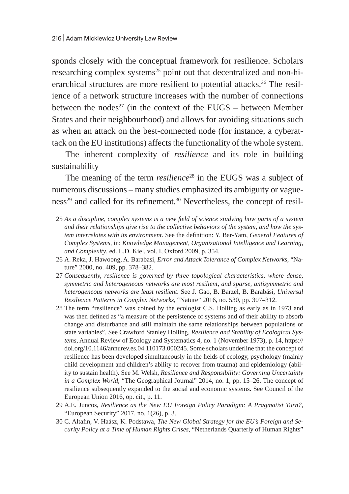sponds closely with the conceptual framework for resilience. Scholars researching complex systems<sup>25</sup> point out that decentralized and non-hierarchical structures are more resilient to potential attacks.<sup>26</sup> The resilience of a network structure increases with the number of connections between the nodes<sup>27</sup> (in the context of the EUGS – between Member States and their neighbourhood) and allows for avoiding situations such as when an attack on the best-connected node (for instance, a cyberattack on the EU institutions) affects the functionality of the whole system.

The inherent complexity of *resilience* and its role in building sustainability

The meaning of the term *resilience*<sup>28</sup> in the EUGS was a subject of numerous discussions – many studies emphasized its ambiguity or vagueness<sup>29</sup> and called for its refinement.<sup>30</sup> Nevertheless, the concept of resil-

<sup>25</sup> *As a discipline, complex systems is a new field of science studying how parts of a system and their relationships give rise to the collective behaviors of the system, and how the system interrelates with its environment*. See the definition: Y. Bar-Yam, *General Features of Complex Systems*, in: *Knowledge Management, Organizational Intelligence and Learning, and Complexity*, ed. L.D. Kiel, vol. I, Oxford 2009, p. 354.

<sup>26</sup> A. Reka, J. Hawoong, A. Barabasi, *Error and Attack Tolerance of Complex Networks*, "Nature" 2000, no. 409, pp. 378–382.

<sup>27</sup> *Consequently, resilience is governed by three topological characteristics, where dense, symmetric and heterogeneous networks are most resilient, and sparse, antisymmetric and heterogeneous networks are least resilient*. See J. Gao, B. Barzel, B. Barabási, *Universal Resilience Patterns in Complex Networks*, "Nature" 2016, no. 530, pp. 307–312.

<sup>28</sup> The term "resilience" was coined by the ecologist C.S. Holling as early as in 1973 and was then defined as "a measure of the persistence of systems and of their ability to absorb change and disturbance and still maintain the same relationships between populations or state variables". See Crawford Stanley Holling, *Resilience and Stability of Ecological Systems*, Annual Review of Ecology and Systematics 4, no. 1 (November 1973), p. 14, https:// doi.org/10.1146/annurev.es.04.110173.000245. Some scholars underline that the concept of resilience has been developed simultaneously in the fields of ecology, psychology (mainly child development and children's ability to recover from trauma) and epidemiology (ability to sustain health). See M. Welsh, *Resilience and Responsibility: Governing Uncertainty in a Complex World*, "The Geographical Journal" 2014, no. 1, pp. 15–26. The concept of resilience subsequently expanded to the social and economic systems. See Council of the European Union 2016, op. cit., p. 11.

<sup>29</sup> A.E. Juncos, *Resilience as the New EU Foreign Policy Paradigm: A Pragmatist Turn?*, "European Security" 2017, no. 1(26), p. 3.

<sup>30</sup> C. Altafin, V. Haász, K. Podstawa, *The New Global Strategy for the EU's Foreign and Security Policy at a Time of Human Rights Crises*, "Netherlands Quarterly of Human Rights"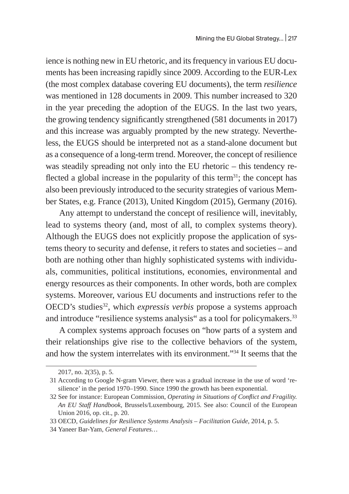ience is nothing new in EU rhetoric, and its frequency in various EU documents has been increasing rapidly since 2009. According to the EUR-Lex (the most complex database covering EU documents), the term *resilience* was mentioned in 128 documents in 2009. This number increased to 320 in the year preceding the adoption of the EUGS. In the last two years, the growing tendency significantly strengthened (581 documents in 2017) and this increase was arguably prompted by the new strategy. Nevertheless, the EUGS should be interpreted not as a stand-alone document but as a consequence of a long-term trend. Moreover, the concept of resilience was steadily spreading not only into the EU rhetoric – this tendency reflected a global increase in the popularity of this term<sup>31</sup>; the concept has also been previously introduced to the security strategies of various Member States, e.g. France (2013), United Kingdom (2015), Germany (2016).

Any attempt to understand the concept of resilience will, inevitably, lead to systems theory (and, most of all, to complex systems theory). Although the EUGS does not explicitly propose the application of systems theory to security and defense, it refers to states and societies – and both are nothing other than highly sophisticated systems with individuals, communities, political institutions, economies, environmental and energy resources as their components. In other words, both are complex systems. Moreover, various EU documents and instructions refer to the OECD's studies<sup>32</sup>, which *expressis verbis* propose a systems approach and introduce "resilience systems analysis" as a tool for policymakers.<sup>33</sup>

A complex systems approach focuses on "how parts of a system and their relationships give rise to the collective behaviors of the system, and how the system interrelates with its environment."<sup>34</sup> It seems that the

<sup>2017,</sup> no. 2(35), p. 5.

<sup>31</sup> According to Google N-gram Viewer, there was a gradual increase in the use of word 'resilience' in the period 1970–1990. Since 1990 the growth has been exponential.

<sup>32</sup> See for instance: European Commission, *Operating in Situations of Conflict and Fragility. An EU Staff Handbook,* Brussels/Luxembourg, 2015. See also: Council of the European Union 2016, op. cit., p. 20.

<sup>33</sup> OECD, *Guidelines for Resilience Systems Analysis – Facilitation Guide*, 2014, p. 5.

<sup>34</sup> Yaneer Bar-Yam, *General Features…*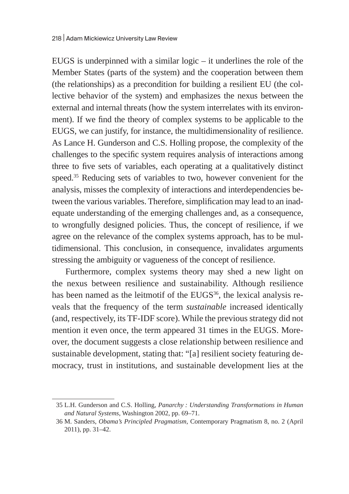EUGS is underpinned with a similar  $logic - it$  underlines the role of the Member States (parts of the system) and the cooperation between them (the relationships) as a precondition for building a resilient EU (the collective behavior of the system) and emphasizes the nexus between the external and internal threats (how the system interrelates with its environment). If we find the theory of complex systems to be applicable to the EUGS, we can justify, for instance, the multidimensionality of resilience. As Lance H. Gunderson and C.S. Holling propose, the complexity of the challenges to the specific system requires analysis of interactions among three to five sets of variables, each operating at a qualitatively distinct speed.<sup>35</sup> Reducing sets of variables to two, however convenient for the analysis, misses the complexity of interactions and interdependencies between the various variables. Therefore, simplification may lead to an inadequate understanding of the emerging challenges and, as a consequence, to wrongfully designed policies. Thus, the concept of resilience, if we agree on the relevance of the complex systems approach, has to be multidimensional. This conclusion, in consequence, invalidates arguments stressing the ambiguity or vagueness of the concept of resilience.

Furthermore, complex systems theory may shed a new light on the nexus between resilience and sustainability. Although resilience has been named as the leitmotif of the EUGS<sup>36</sup>, the lexical analysis reveals that the frequency of the term *sustainable* increased identically (and, respectively, its TF-IDF score). While the previous strategy did not mention it even once, the term appeared 31 times in the EUGS. Moreover, the document suggests a close relationship between resilience and sustainable development, stating that: "[a] resilient society featuring democracy, trust in institutions, and sustainable development lies at the

<sup>35</sup> L.H. Gunderson and C.S. Holling, *Panarchy : Understanding Transformations in Human and Natural Systems*, Washington 2002, pp. 69–71.

<sup>36</sup> M. Sanders, *Obama's Principled Pragmatism*, Contemporary Pragmatism 8, no. 2 (April 2011), pp. 31–42.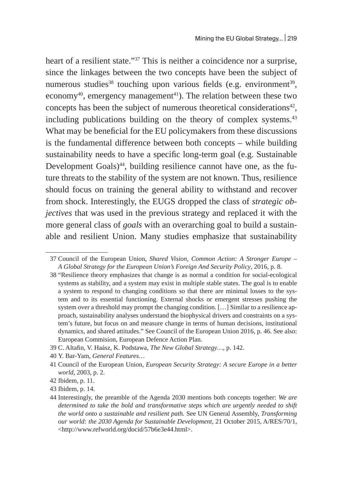heart of a resilient state."<sup>37</sup> This is neither a coincidence nor a surprise, since the linkages between the two concepts have been the subject of numerous studies<sup>38</sup> touching upon various fields (e.g. environment<sup>39</sup>, economy<sup>40</sup>, emergency management<sup>41</sup>). The relation between these two concepts has been the subject of numerous theoretical considerations<sup>42</sup>, including publications building on the theory of complex systems.<sup>43</sup> What may be beneficial for the EU policymakers from these discussions is the fundamental difference between both concepts – while building sustainability needs to have a specific long-term goal (e.g. Sustainable Development Goals) $44$ , building resilience cannot have one, as the future threats to the stability of the system are not known. Thus, resilience should focus on training the general ability to withstand and recover from shock. Interestingly, the EUGS dropped the class of *strategic objectives* that was used in the previous strategy and replaced it with the more general class of *goals* with an overarching goal to build a sustainable and resilient Union. Many studies emphasize that sustainability

<sup>37</sup> Council of the European Union, *Shared Vision, Common Action: A Stronger Europe – A Global Strategy for the European Union's Foreign And Security Policy*, 2016, p. 8.

<sup>38</sup> "Resilience theory emphasizes that change is as normal a condition for social-ecological systems as stability, and a system may exist in multiple stable states. The goal is to enable a system to respond to changing conditions so that there are minimal losses to the system and to its essential functioning. External shocks or emergent stresses pushing the system over a threshold may prompt the changing condition. [...] Similar to a resilience approach, sustainability analyses understand the biophysical drivers and constraints on a system's future, but focus on and measure change in terms of human decisions, institutional dynamics, and shared attitudes." See Council of the European Union 2016, p. 46. See also: European Commision, European Defence Action Plan.

<sup>39</sup> C. Altafin, V. Haász, K. Podstawa, *The New Global Strategy…*, p. 142.

<sup>40</sup> Y. Bar-Yam, *General Features…*

<sup>41</sup> Council of the European Union, *European Security Strategy: A secure Europe in a better world*, 2003, p. 2.

<sup>42</sup> Ibidem, p. 11.

<sup>43</sup> Ibidem, p. 14.

<sup>44</sup> Interestingly, the preamble of the Agenda 2030 mentions both concepts together: *We are determined to take the bold and transformative steps which are urgently needed to shift the world onto a sustainable and resilient path.* See UN General Assembly, *Transforming our world: the 2030 Agenda for Sustainable Development*, 21 October 2015, A/RES/70/1, <http://www.refworld.org/docid/57b6e3e44.html>.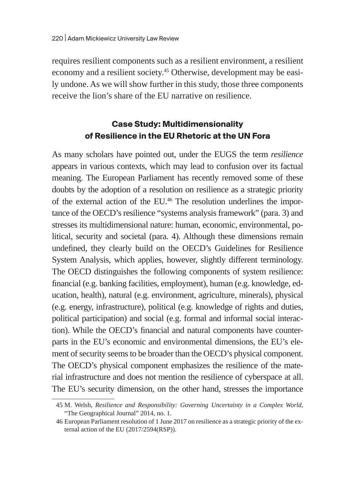requires resilient components such as a resilient environment, a resilient economy and a resilient society.<sup>45</sup> Otherwise, development may be easily undone. As we will show further in this study, those three components receive the lion's share of the EU narrative on resilience.

## **Case Study: Multidimensionality of Resilience in the EU Rhetoric at the UN Fora**

As many scholars have pointed out, under the EUGS the term *resilience* appears in various contexts, which may lead to confusion over its factual meaning. The European Parliament has recently removed some of these doubts by the adoption of a resolution on resilience as a strategic priority of the external action of the EU.46 The resolution underlines the importance of the OECD's resilience "systems analysis framework" (para. 3) and stresses its multidimensional nature: human, economic, environmental, political, security and societal (para. 4). Although these dimensions remain undefined, they clearly build on the OECD's Guidelines for Resilience System Analysis, which applies, however, slightly different terminology. The OECD distinguishes the following components of system resilience: financial (e.g. banking facilities, employment), human (e.g. knowledge, education, health), natural (e.g. environment, agriculture, minerals), physical (e.g. energy, infrastructure), political (e.g. knowledge of rights and duties, political participation) and social (e.g. formal and informal social interaction). While the OECD's financial and natural components have counterparts in the EU's economic and environmental dimensions, the EU's element of security seems to be broader than the OECD's physical component. The OECD's physical component emphasizes the resilience of the material infrastructure and does not mention the resilience of cyberspace at all. The EU's security dimension, on the other hand, stresses the importance

<sup>45</sup> M. Welsh, *Resilience and Responsibility: Governing Uncertainty in a Complex World*, "The Geographical Journal" 2014, no. 1.

<sup>46</sup> European Parliament resolution of 1 June 2017 on resilience as a strategic priority of the external action of the EU (2017/2594(RSP)).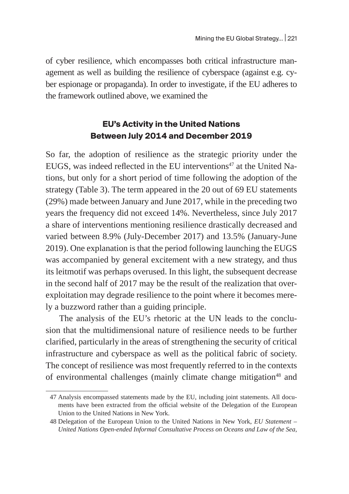of cyber resilience, which encompasses both critical infrastructure management as well as building the resilience of cyberspace (against e.g. cyber espionage or propaganda). In order to investigate, if the EU adheres to the framework outlined above, we examined the

# **EU's Activity in the United Nations Between July 2014 and December 2019**

So far, the adoption of resilience as the strategic priority under the EUGS, was indeed reflected in the EU interventions<sup>47</sup> at the United Nations, but only for a short period of time following the adoption of the strategy (Table 3). The term appeared in the 20 out of 69 EU statements (29%) made between January and June 2017, while in the preceding two years the frequency did not exceed 14%. Nevertheless, since July 2017 a share of interventions mentioning resilience drastically decreased and varied between 8.9% (July-December 2017) and 13.5% (January-June 2019). One explanation is that the period following launching the EUGS was accompanied by general excitement with a new strategy, and thus its leitmotif was perhaps overused. In this light, the subsequent decrease in the second half of 2017 may be the result of the realization that overexploitation may degrade resilience to the point where it becomes merely a buzzword rather than a guiding principle.

The analysis of the EU's rhetoric at the UN leads to the conclusion that the multidimensional nature of resilience needs to be further clarified, particularly in the areas of strengthening the security of critical infrastructure and cyberspace as well as the political fabric of society. The concept of resilience was most frequently referred to in the contexts of environmental challenges (mainly climate change mitigation<sup>48</sup> and

<sup>47</sup> Analysis encompassed statements made by the EU, including joint statements. All documents have been extracted from the official website of the Delegation of the European Union to the United Nations in New York.

<sup>48</sup> Delegation of the European Union to the United Nations in New York, *EU Statement – United Nations Open-ended Informal Consultative Process on Oceans and Law of the Sea*,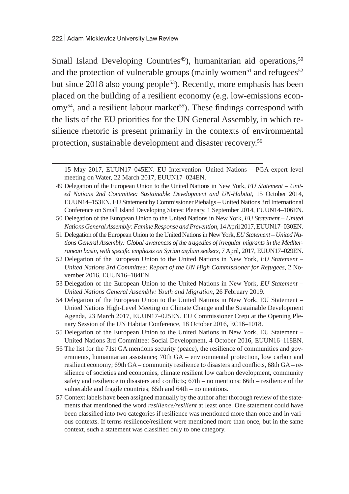Small Island Developing Countries<sup>49</sup>), humanitarian aid operations,<sup>50</sup> and the protection of vulnerable groups (mainly women<sup>51</sup> and refugees<sup>52</sup> but since 2018 also young people<sup>53</sup>). Recently, more emphasis has been placed on the building of a resilient economy (e.g. low-emissions econ- $\text{om}y^{54}$ , and a resilient labour market<sup>55</sup>). These findings correspond with the lists of the EU priorities for the UN General Assembly, in which resilience rhetoric is present primarily in the contexts of environmental protection, sustainable development and disaster recovery.<sup>56</sup>

- 49 Delegation of the European Union to the United Nations in New York, *EU Statement United Nations 2nd Committee: Sustainable Development and UN-Habitat*, 15 October 2014, EUUN14–153EN. EU Statement by Commissioner Piebalgs – United Nations 3rd International Conference on Small Island Developing States: Plenary, 1 September 2014, EUUN14–106EN.
- 50 Delegation of the European Union to the United Nations in New York, *EU Statement United Nations General Assembly: Famine Response and Prevention*, 14 April 2017, EUUN17–030EN.
- 51 Delegation of the European Union to the United Nations in New York, *EU Statement United Nations General Assembly: Global awareness of the tragedies of irregular migrants in the Mediterranean basin, with specific emphasis on Syrian asylum seekers*, 7 April, 2017, EUUN17–029EN.
- 52 Delegation of the European Union to the United Nations in New York, *EU Statement United Nations 3rd Committee: Report of the UN High Commissioner for Refugees*, 2 November 2016, EUUN16–184EN.
- 53 Delegation of the European Union to the United Nations in New York, *EU Statement United Nations General Assembly: Youth and Migration*, 26 February 2019.
- 54 Delegation of the European Union to the United Nations in New York, EU Statement United Nations High-Level Meeting on Climate Change and the Sustainable Development Agenda, 23 March 2017, EUUN17–025EN. EU Commissioner Crețu at the Opening Plenary Session of the UN Habitat Conference, 18 October 2016, EC16–1018.
- 55 Delegation of the European Union to the United Nations in New York, EU Statement United Nations 3rd Committee: Social Development, 4 October 2016, EUUN16–118EN.
- 56 The list for the 71st GA mentions security (peace), the resilience of communities and governments, humanitarian assistance; 70th GA – environmental protection, low carbon and resilient economy; 69th GA – community resilience to disasters and conflicts, 68th GA – resilience of societies and economies, climate resilient low carbon development, community safety and resilience to disasters and conflicts; 67th – no mentions; 66th – resilience of the vulnerable and fragile countries; 65th and 64th – no mentions.
- 57 Context labels have been assigned manually by the author after thorough review of the statements that mentioned the word *resilience/resilient* at least once. One statement could have been classified into two categories if resilience was mentioned more than once and in various contexts. If terms resilience/resilient were mentioned more than once, but in the same context, such a statement was classified only to one category.

<sup>15</sup> May 2017, EUUN17–045EN. EU Intervention: United Nations – PGA expert level meeting on Water, 22 March 2017, EUUN17–024EN.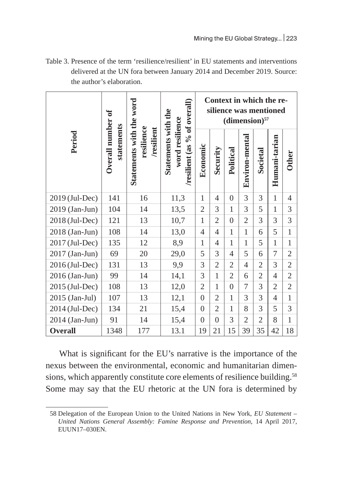| Table 3. Presence of the term 'resilience/resilient' in EU statements and interventions |  |
|-----------------------------------------------------------------------------------------|--|
| delivered at the UN fora between January 2014 and December 2019. Source:                |  |
| the author's elaboration.                                                               |  |

|                |                                 |                                                      |                                                                        | Context in which the re-<br>silience was mentioned<br>$(dimension)$ <sup>57</sup> |                          |                          |                |                |                |                |
|----------------|---------------------------------|------------------------------------------------------|------------------------------------------------------------------------|-----------------------------------------------------------------------------------|--------------------------|--------------------------|----------------|----------------|----------------|----------------|
| Period         | Overall number of<br>statements | Statements with the word<br>resilience<br>/resilient | /resilient (as % of overall)<br>Statements with the<br>word resilience | Economic                                                                          | Security                 | Political                | Environ-mental | Societal       | Humani-tarian  | <b>Other</b>   |
| 2019 (Jul-Dec) | 141                             | 16<br>11,3                                           |                                                                        | $\mathbf{1}$                                                                      | $\overline{\mathcal{A}}$ | $\Omega$                 | 3              | 3              | $\overline{1}$ | $\overline{4}$ |
| 2019 (Jan-Jun) | 104                             | 14                                                   | 13,5                                                                   | $\overline{2}$                                                                    | 3                        | $\mathbf{1}$             | 3              | 5              | $\mathbf{1}$   | 3              |
| 2018 (Jul-Dec) | 121                             | 13                                                   | 10,7                                                                   | $\mathbf{1}$                                                                      | $\overline{2}$           | $\overline{0}$           | $\overline{2}$ | 3              | 3              | 3              |
| 2018 (Jan-Jun) | 108                             | 14                                                   | 13,0                                                                   | $\overline{4}$                                                                    | $\overline{4}$           | $\mathbf{1}$             | $\mathbf{1}$   | 6              | 5              | $\mathbf{1}$   |
| 2017 (Jul-Dec) | 135                             | 12                                                   | 8,9                                                                    | $\mathbf{1}$                                                                      | $\overline{\mathcal{A}}$ | $\overline{1}$           | $\mathbf{1}$   | 5              | $\overline{1}$ | $\mathbf{1}$   |
| 2017 (Jan-Jun) | 69                              | 20                                                   | 29,0                                                                   | 5                                                                                 | 3                        | $\overline{\mathcal{A}}$ | 5              | 6              | 7              | $\overline{2}$ |
| 2016 (Jul-Dec) | 131                             | 13                                                   | 9,9                                                                    | 3                                                                                 | $\overline{2}$           | $\overline{2}$           | $\overline{4}$ | $\overline{2}$ | 3              | $\overline{2}$ |
| 2016 (Jan-Jun) | 99                              | 14                                                   | 14,1                                                                   | 3                                                                                 | $\overline{1}$           | $\overline{2}$           | 6              | $\overline{2}$ | $\overline{4}$ | $\overline{2}$ |
| 2015 (Jul-Dec) | 108                             | 13                                                   | 12,0                                                                   | $\overline{2}$                                                                    | $\mathbf{1}$             | $\overline{0}$           | 7              | 3              | $\overline{2}$ | $\overline{2}$ |
| 2015 (Jan-Jul) | 107                             | 13                                                   | 12,1                                                                   | $\overline{0}$                                                                    | $\overline{2}$           | $\mathbf{1}$             | 3              | 3              | $\overline{4}$ | $\mathbf{1}$   |
| 2014 (Jul-Dec) | 134                             | 21                                                   | 15,4                                                                   | $\overline{0}$                                                                    | $\overline{2}$           | $\mathbf{1}$             | 8              | 3              | 5              | 3              |
| 2014 (Jan-Jun) | 91                              | 14                                                   | 15,4                                                                   | $\mathbf{0}$                                                                      | $\overline{0}$           | 3                        | $\overline{2}$ | $\overline{2}$ | 8              | $\mathbf{1}$   |
| <b>Overall</b> | 1348                            | 177                                                  | 13.1                                                                   | 19                                                                                | 21                       | 15                       | 39             | 35             | 42             | 18             |

What is significant for the EU's narrative is the importance of the nexus between the environmental, economic and humanitarian dimensions, which apparently constitute core elements of resilience building.<sup>58</sup> Some may say that the EU rhetoric at the UN fora is determined by

<sup>58</sup> Delegation of the European Union to the United Nations in New York, *EU Statement – United Nations General Assembly: Famine Response and Prevention*, 14 April 2017, EUUN17–030EN.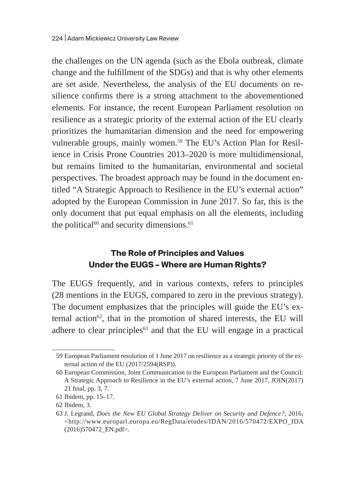the challenges on the UN agenda (such as the Ebola outbreak, climate change and the fulfillment of the SDGs) and that is why other elements are set aside. Nevertheless, the analysis of the EU documents on resilience confirms there is a strong attachment to the abovementioned elements. For instance, the recent European Parliament resolution on resilience as a strategic priority of the external action of the EU clearly prioritizes the humanitarian dimension and the need for empowering vulnerable groups, mainly women.<sup>59</sup> The EU's Action Plan for Resilience in Crisis Prone Countries 2013–2020 is more multidimensional, but remains limited to the humanitarian, environmental and societal perspectives. The broadest approach may be found in the document entitled "A Strategic Approach to Resilience in the EU's external action" adopted by the European Commission in June 2017. So far, this is the only document that put equal emphasis on all the elements, including the political $60$  and security dimensions. $61$ 

# **The Role of Principles and Values Under the EUGS – Where are Human Rights?**

The EUGS frequently, and in various contexts, refers to principles (28 mentions in the EUGS, compared to zero in the previous strategy). The document emphasizes that the principles will guide the EU's external action $62$ , that in the promotion of shared interests, the EU will adhere to clear principles $63$  and that the EU will engage in a practical

<sup>59</sup> European Parliament resolution of 1 June 2017 on resilience as a strategic priority of the external action of the EU (2017/2594(RSP)).

<sup>60</sup> European Commission, Joint Communication to the European Parliament and the Council: A Strategic Approach to Resilience in the EU's external action, 7 June 2017, JOIN(2017) 21 final, pp. 3, 7.

<sup>61</sup> Ibidem, pp. 15–17.

<sup>62</sup> Ibidem, 3.

<sup>63</sup> J. Legrand, *Does the New EU Global Strategy Deliver on Security and Defence?*, 2016, <http://www.europarl.europa.eu/RegData/etudes/IDAN/2016/570472/EXPO\_IDA (2016)570472\_EN.pdf>.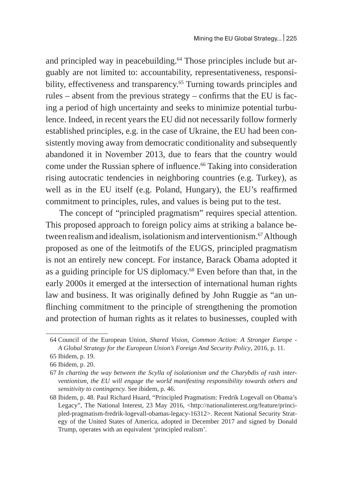and principled way in peacebuilding.<sup>64</sup> Those principles include but arguably are not limited to: accountability, representativeness, responsibility, effectiveness and transparency.<sup>65</sup> Turning towards principles and rules – absent from the previous strategy – confirms that the EU is facing a period of high uncertainty and seeks to minimize potential turbulence. Indeed, in recent years the EU did not necessarily follow formerly established principles, e.g. in the case of Ukraine, the EU had been consistently moving away from democratic conditionality and subsequently abandoned it in November 2013, due to fears that the country would come under the Russian sphere of influence.<sup>66</sup> Taking into consideration rising autocratic tendencies in neighboring countries (e.g. Turkey), as well as in the EU itself (e.g. Poland, Hungary), the EU's reaffirmed commitment to principles, rules, and values is being put to the test.

The concept of "principled pragmatism" requires special attention. This proposed approach to foreign policy aims at striking a balance between realism and idealism, isolationism and interventionism.<sup>67</sup> Although proposed as one of the leitmotifs of the EUGS, principled pragmatism is not an entirely new concept. For instance, Barack Obama adopted it as a guiding principle for US diplomacy.<sup>68</sup> Even before than that, in the early 2000s it emerged at the intersection of international human rights law and business. It was originally defined by John Ruggie as "an unflinching commitment to the principle of strengthening the promotion and protection of human rights as it relates to businesses, coupled with

<sup>64</sup> Council of the European Union, *Shared Vision, Common Action: A Stronger Europe - A Global Strategy for the European Union's Foreign And Security Policy*, 2016, p. 11.

<sup>65</sup> Ibidem, p. 19.

<sup>66</sup> Ibidem, p. 20.

<sup>67</sup> *In charting the way between the Scylla of isolationism and the Charybdis of rash interventionism, the EU will engage the world manifesting responsibility towards others and sensitivity to contingency.* See ibidem, p. 46.

<sup>68</sup> Ibidem, p. 48. Paul Richard Huard, "Principled Pragmatism: Fredrik Logevall on Obama's Legacy", The National Interest, 23 May 2016, <http://nationalinterest.org/feature/principled-pragmatism-fredrik-logevall-obamas-legacy-16312>. Recent National Security Strategy of the United States of America, adopted in December 2017 and signed by Donald Trump, operates with an equivalent 'principled realism'.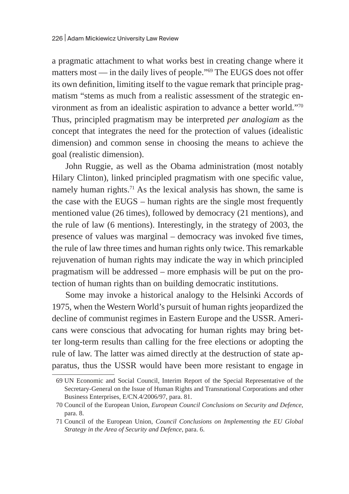a pragmatic attachment to what works best in creating change where it matters most — in the daily lives of people."<sup>69</sup> The EUGS does not offer its own definition, limiting itself to the vague remark that principle pragmatism "stems as much from a realistic assessment of the strategic environment as from an idealistic aspiration to advance a better world."<sup>70</sup> Thus, principled pragmatism may be interpreted *per analogiam* as the concept that integrates the need for the protection of values (idealistic dimension) and common sense in choosing the means to achieve the goal (realistic dimension).

John Ruggie, as well as the Obama administration (most notably Hilary Clinton), linked principled pragmatism with one specific value, namely human rights.<sup>71</sup> As the lexical analysis has shown, the same is the case with the EUGS – human rights are the single most frequently mentioned value (26 times), followed by democracy (21 mentions), and the rule of law (6 mentions). Interestingly, in the strategy of 2003, the presence of values was marginal – democracy was invoked five times, the rule of law three times and human rights only twice. This remarkable rejuvenation of human rights may indicate the way in which principled pragmatism will be addressed – more emphasis will be put on the protection of human rights than on building democratic institutions.

Some may invoke a historical analogy to the Helsinki Accords of 1975, when the Western World's pursuit of human rights jeopardized the decline of communist regimes in Eastern Europe and the USSR. Americans were conscious that advocating for human rights may bring better long-term results than calling for the free elections or adopting the rule of law. The latter was aimed directly at the destruction of state apparatus, thus the USSR would have been more resistant to engage in

<sup>69</sup> UN Economic and Social Council, Interim Report of the Special Representative of the Secretary-General on the Issue of Human Rights and Transnational Corporations and other Business Enterprises, E/CN.4/2006/97, para. 81.

<sup>70</sup> Council of the European Union, *European Council Conclusions on Security and Defence*, para. 8.

<sup>71</sup> Council of the European Union, *Council Conclusions on Implementing the EU Global Strategy in the Area of Security and Defence*, para. 6.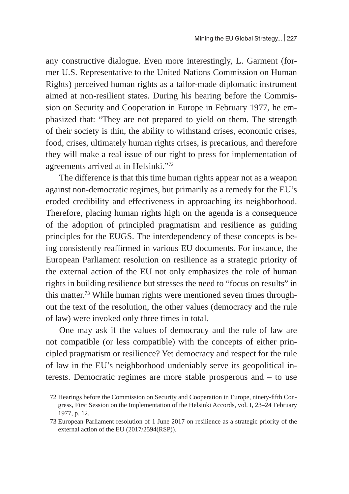any constructive dialogue. Even more interestingly, L. Garment (former U.S. Representative to the United Nations Commission on Human Rights) perceived human rights as a tailor-made diplomatic instrument aimed at non-resilient states. During his hearing before the Commission on Security and Cooperation in Europe in February 1977, he emphasized that: "They are not prepared to yield on them. The strength of their society is thin, the ability to withstand crises, economic crises, food, crises, ultimately human rights crises, is precarious, and therefore they will make a real issue of our right to press for implementation of agreements arrived at in Helsinki."72

The difference is that this time human rights appear not as a weapon against non-democratic regimes, but primarily as a remedy for the EU's eroded credibility and effectiveness in approaching its neighborhood. Therefore, placing human rights high on the agenda is a consequence of the adoption of principled pragmatism and resilience as guiding principles for the EUGS. The interdependency of these concepts is being consistently reaffirmed in various EU documents. For instance, the European Parliament resolution on resilience as a strategic priority of the external action of the EU not only emphasizes the role of human rights in building resilience but stresses the need to "focus on results" in this matter.<sup>73</sup> While human rights were mentioned seven times throughout the text of the resolution, the other values (democracy and the rule of law) were invoked only three times in total.

One may ask if the values of democracy and the rule of law are not compatible (or less compatible) with the concepts of either principled pragmatism or resilience? Yet democracy and respect for the rule of law in the EU's neighborhood undeniably serve its geopolitical interests. Democratic regimes are more stable prosperous and – to use

<sup>72</sup> Hearings before the Commission on Security and Cooperation in Europe, ninety-fifth Congress, First Session on the Implementation of the Helsinki Accords, vol. I, 23–24 February 1977, p. 12.

<sup>73</sup> European Parliament resolution of 1 June 2017 on resilience as a strategic priority of the external action of the EU (2017/2594(RSP)).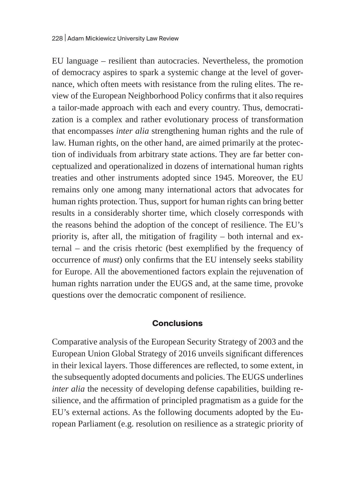EU language – resilient than autocracies. Nevertheless, the promotion of democracy aspires to spark a systemic change at the level of governance, which often meets with resistance from the ruling elites. The review of the European Neighborhood Policy confirms that it also requires a tailor-made approach with each and every country. Thus, democratization is a complex and rather evolutionary process of transformation that encompasses *inter alia* strengthening human rights and the rule of law. Human rights, on the other hand, are aimed primarily at the protection of individuals from arbitrary state actions. They are far better conceptualized and operationalized in dozens of international human rights treaties and other instruments adopted since 1945. Moreover, the EU remains only one among many international actors that advocates for human rights protection. Thus, support for human rights can bring better results in a considerably shorter time, which closely corresponds with the reasons behind the adoption of the concept of resilience. The EU's priority is, after all, the mitigation of fragility – both internal and external – and the crisis rhetoric (best exemplified by the frequency of occurrence of *must*) only confirms that the EU intensely seeks stability for Europe. All the abovementioned factors explain the rejuvenation of human rights narration under the EUGS and, at the same time, provoke questions over the democratic component of resilience.

### **Conclusions**

Comparative analysis of the European Security Strategy of 2003 and the European Union Global Strategy of 2016 unveils significant differences in their lexical layers. Those differences are reflected, to some extent, in the subsequently adopted documents and policies. The EUGS underlines *inter alia* the necessity of developing defense capabilities, building resilience, and the affirmation of principled pragmatism as a guide for the EU's external actions. As the following documents adopted by the European Parliament (e.g. resolution on resilience as a strategic priority of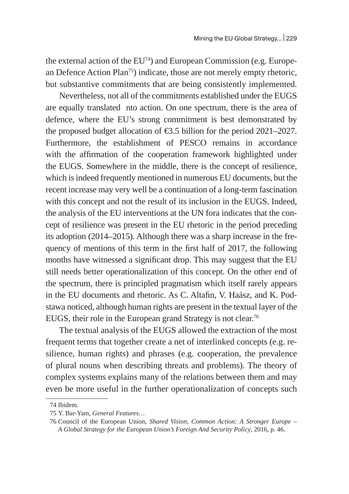the external action of the  $EU^{74}$ ) and European Commission (e.g. European Defence Action Plan<sup>75</sup>) indicate, those are not merely empty rhetoric, but substantive commitments that are being consistently implemented.

Nevertheless, not all of the commitments established under the EUGS are equally translated nto action. On one spectrum, there is the area of defence, where the EU's strong commitment is best demonstrated by the proposed budget allocation of €3.5 billion for the period 2021–2027. Furthermore, the establishment of PESCO remains in accordance with the affirmation of the cooperation framework highlighted under the EUGS. Somewhere in the middle, there is the concept of resilience, which is indeed frequently mentioned in numerous EU documents, but the recent increase may very well be a continuation of a long-term fascination with this concept and not the result of its inclusion in the EUGS. Indeed, the analysis of the EU interventions at the UN fora indicates that the concept of resilience was present in the EU rhetoric in the period preceding its adoption (2014–2015). Although there was a sharp increase in the frequency of mentions of this term in the first half of 2017, the following months have witnessed a significant drop. This may suggest that the EU still needs better operationalization of this concept. On the other end of the spectrum, there is principled pragmatism which itself rarely appears in the EU documents and rhetoric. As C. Altafin, V. Haász, and K. Podstawa noticed, although human rights are present in the textual layer of the EUGS, their role in the European grand Strategy is not clear.<sup>76</sup>

The textual analysis of the EUGS allowed the extraction of the most frequent terms that together create a net of interlinked concepts (e.g. resilience, human rights) and phrases (e.g. cooperation, the prevalence of plural nouns when describing threats and problems). The theory of complex systems explains many of the relations between them and may even be more useful in the further operationalization of concepts such

<sup>74</sup> Ibidem.

<sup>75</sup> Y. Bar-Yam, *General Features…*

<sup>76</sup> Council of the European Union, *Shared Vision, Common Action: A Stronger Europe – A Global Strategy for the European Union's Foreign And Security Policy*, 2016, p. 46.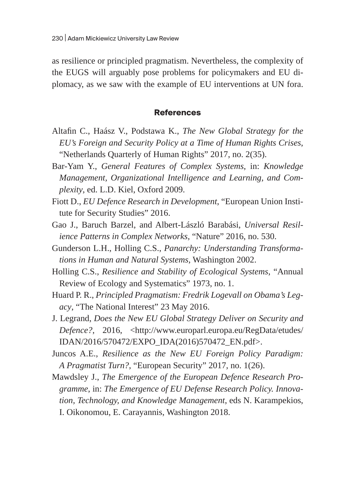as resilience or principled pragmatism. Nevertheless, the complexity of the EUGS will arguably pose problems for policymakers and EU diplomacy, as we saw with the example of EU interventions at UN fora.

#### **References**

- Altafin C., Haász V., Podstawa K., *The New Global Strategy for the EU's Foreign and Security Policy at a Time of Human Rights Crises*, "Netherlands Quarterly of Human Rights" 2017, no. 2(35).
- Bar-Yam Y., *General Features of Complex Systems*, in: *Knowledge Management, Organizational Intelligence and Learning, and Complexity*, ed. L.D. Kiel, Oxford 2009.
- Fiott D., *EU Defence Research in Development*, "European Union Institute for Security Studies" 2016.
- Gao J., Baruch Barzel, and Albert-László Barabási, *Universal Resilience Patterns in Complex Networks*, "Nature" 2016, no. 530.
- Gunderson L.H., Holling C.S., *Panarchy: Understanding Transformations in Human and Natural Systems*, Washington 2002.
- Holling C.S., *Resilience and Stability of Ecological Systems*, "Annual Review of Ecology and Systematics" 1973, no. 1.
- Huard P. R., *Principled Pragmatism: Fredrik Logevall on Obama's Legacy*, "The National Interest" 23 May 2016.
- J. Legrand, *Does the New EU Global Strategy Deliver on Security and Defence?,* 2016, <http://www.europarl.europa.eu/RegData/etudes/ IDAN/2016/570472/EXPO\_IDA(2016)570472\_EN.pdf>.
- Juncos A.E., *Resilience as the New EU Foreign Policy Paradigm: A Pragmatist Turn?*, "European Security" 2017, no. 1(26).
- Mawdsley J., *The Emergence of the European Defence Research Programme*, in: *The Emergence of EU Defense Research Policy. Innovation, Technology, and Knowledge Management*, eds N. Karampekios, I. Oikonomou, E. Carayannis, Washington 2018.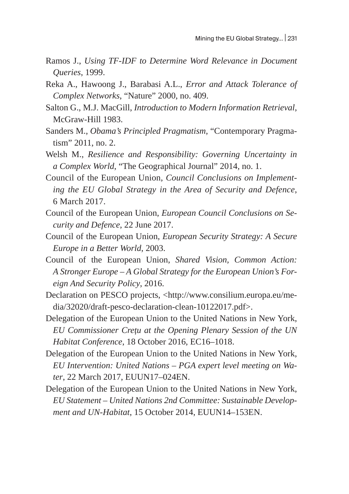- Ramos J., *Using TF-IDF to Determine Word Relevance in Document Queries*, 1999.
- Reka A., Hawoong J., Barabasi A.L., *Error and Attack Tolerance of Complex Networks*, "Nature" 2000, no. 409.
- Salton G., M.J. MacGill, *Introduction to Modern Information Retrieval*, McGraw-Hill 1983.
- Sanders M., *Obama's Principled Pragmatism*, "Contemporary Pragmatism" 2011, no. 2.
- Welsh M., *Resilience and Responsibility: Governing Uncertainty in a Complex World*, "The Geographical Journal" 2014, no. 1.
- Council of the European Union, *Council Conclusions on Implementing the EU Global Strategy in the Area of Security and Defence*, 6 March 2017.
- Council of the European Union, *European Council Conclusions on Security and Defence*, 22 June 2017.
- Council of the European Union, *European Security Strategy: A Secure Europe in a Better World*, 2003.
- Council of the European Union, *Shared Vision, Common Action: A Stronger Europe – A Global Strategy for the European Union's Foreign And Security Policy*, 2016.
- Declaration on PESCO projects, <http://www.consilium.europa.eu/media/32020/draft-pesco-declaration-clean-10122017.pdf>.
- Delegation of the European Union to the United Nations in New York, *EU Commissioner Crețu at the Opening Plenary Session of the UN Habitat Conference*, 18 October 2016, EC16–1018.
- Delegation of the European Union to the United Nations in New York, *EU Intervention: United Nations – PGA expert level meeting on Water*, 22 March 2017, EUUN17–024EN.
- Delegation of the European Union to the United Nations in New York, *EU Statement – United Nations 2nd Committee: Sustainable Development and UN-Habitat*, 15 October 2014, EUUN14–153EN.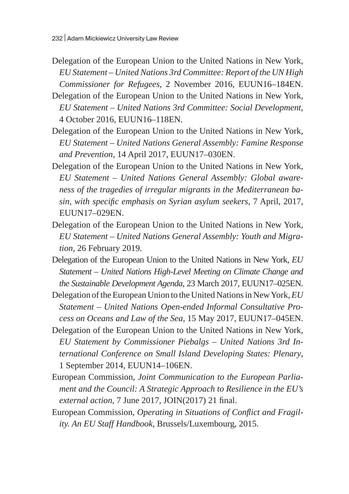- Delegation of the European Union to the United Nations in New York, *EU Statement – United Nations 3rd Committee: Report of the UN High Commissioner for Refugees*, 2 November 2016, EUUN16–184EN.
- Delegation of the European Union to the United Nations in New York, *EU Statement – United Nations 3rd Committee: Social Development*, 4 October 2016, EUUN16–118EN.
- Delegation of the European Union to the United Nations in New York, *EU Statement – United Nations General Assembly: Famine Response and Prevention*, 14 April 2017, EUUN17–030EN.
- Delegation of the European Union to the United Nations in New York*, EU Statement – United Nations General Assembly: Global awareness of the tragedies of irregular migrants in the Mediterranean basin, with specific emphasis on Syrian asylum seekers*, 7 April, 2017, EUUN17–029EN.
- Delegation of the European Union to the United Nations in New York, *EU Statement – United Nations General Assembly: Youth and Migration*, 26 February 2019.
- Delegation of the European Union to the United Nations in New York, *EU Statement – United Nations High-Level Meeting on Climate Change and the Sustainable Development Agenda*, 23 March 2017, EUUN17–025EN.
- Delegation of the European Union to the United Nations in New York, *EU Statement – United Nations Open-ended Informal Consultative Process on Oceans and Law of the Sea*, 15 May 2017, EUUN17–045EN.
- Delegation of the European Union to the United Nations in New York, *EU Statement by Commissioner Piebalgs – United Nations 3rd International Conference on Small Island Developing States: Plenary*, 1 September 2014, EUUN14–106EN.
- European Commission, *Joint Communication to the European Parliament and the Council: A Strategic Approach to Resilience in the EU's external action*, 7 June 2017, JOIN(2017) 21 final.
- European Commission, *Operating in Situations of Conflict and Fragility. An EU Staff Handbook*, Brussels/Luxembourg, 2015.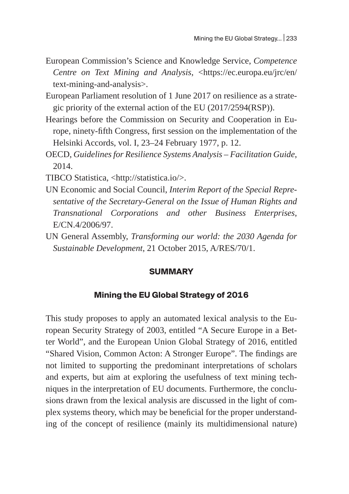- European Commission's Science and Knowledge Service, *Competence Centre on Text Mining and Analysis*, <https://ec.europa.eu/jrc/en/ text-mining-and-analysis>.
- European Parliament resolution of 1 June 2017 on resilience as a strategic priority of the external action of the EU (2017/2594(RSP)).
- Hearings before the Commission on Security and Cooperation in Europe, ninety-fifth Congress, first session on the implementation of the Helsinki Accords, vol. I, 23–24 February 1977, p. 12.
- OECD, *Guidelines for Resilience Systems Analysis Facilitation Guide*, 2014.

TIBCO Statistica, <http://statistica.io/>.

- UN Economic and Social Council, *Interim Report of the Special Representative of the Secretary-General on the Issue of Human Rights and Transnational Corporations and other Business Enterprises*, E/CN.4/2006/97.
- UN General Assembly, *Transforming our world: the 2030 Agenda for Sustainable Development*, 21 October 2015, A/RES/70/1.

### **SUMMARY**

## **Mining the EU Global Strategy of 2016**

This study proposes to apply an automated lexical analysis to the European Security Strategy of 2003, entitled "A Secure Europe in a Better World", and the European Union Global Strategy of 2016, entitled "Shared Vision, Common Acton: A Stronger Europe". The findings are not limited to supporting the predominant interpretations of scholars and experts, but aim at exploring the usefulness of text mining techniques in the interpretation of EU documents. Furthermore, the conclusions drawn from the lexical analysis are discussed in the light of complex systems theory, which may be beneficial for the proper understanding of the concept of resilience (mainly its multidimensional nature)